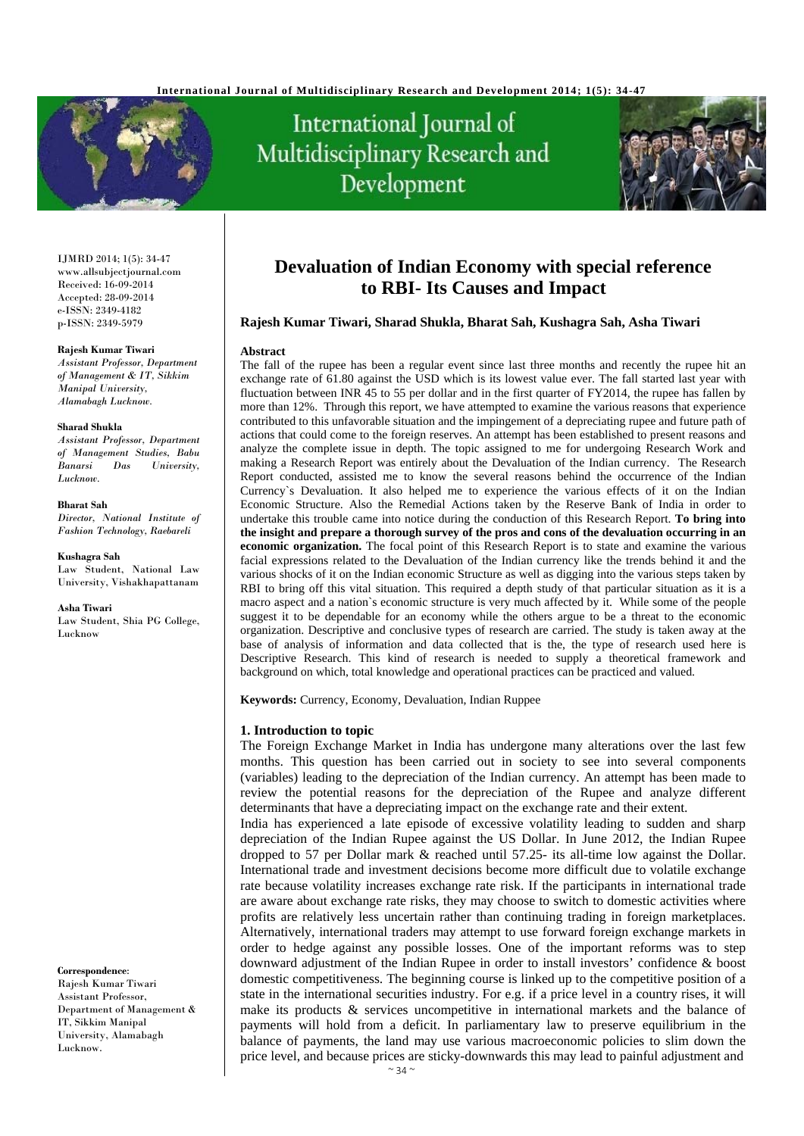

# International Journal of Multidisciplinary Research and Development



IJMRD 2014; 1(5): 34-47 www.allsubjectjournal.com Received: 16-09-2014 Accepted: 28-09-2014 e-ISSN: 2349-4182 p-ISSN: 2349-5979

#### **Rajesh Kumar Tiwari**

*Assistant Professor, Department of Management & IT, Sikkim Manipal University, Alamabagh Lucknow.* 

#### **Sharad Shukla**

*Assistant Professor, Department of Management Studies, Babu Banarsi Das University, Lucknow.* 

**Bharat Sah** *Director, National Institute of* 

*Fashion Technology, Raebareli* 

**Kushagra Sah** 

Law Student, National Law University, Vishakhapattanam

**Asha Tiwari** 

Law Student, Shia PG College, Lucknow

#### **Correspondence**:

Rajesh Kumar Tiwari Assistant Professor, Department of Management & IT, Sikkim Manipal University, Alamabagh Lucknow.

## **Devaluation of Indian Economy with special reference to RBI- Its Causes and Impact**

#### **Rajesh Kumar Tiwari, Sharad Shukla, Bharat Sah, Kushagra Sah, Asha Tiwari**

#### **Abstract**

The fall of the rupee has been a regular event since last three months and recently the rupee hit an exchange rate of  $61.80$  against the USD which is its lowest value ever. The fall started last year with fluctuation between INR 45 to 55 per dollar and in the first quarter of FY2014, the rupee has fallen by more than 12%. Through this report, we have attempted to examine the various reasons that experience contributed to this unfavorable situation and the impingement of a depreciating rupee and future path of actions that could come to the foreign reserves. An attempt has been established to present reasons and analyze the complete issue in depth. The topic assigned to me for undergoing Research Work and making a Research Report was entirely about the Devaluation of the Indian currency. The Research Report conducted, assisted me to know the several reasons behind the occurrence of the Indian Currency`s Devaluation. It also helped me to experience the various effects of it on the Indian Economic Structure. Also the Remedial Actions taken by the Reserve Bank of India in order to undertake this trouble came into notice during the conduction of this Research Report. **To bring into the insight and prepare a thorough survey of the pros and cons of the devaluation occurring in an economic organization.** The focal point of this Research Report is to state and examine the various facial expressions related to the Devaluation of the Indian currency like the trends behind it and the various shocks of it on the Indian economic Structure as well as digging into the various steps taken by RBI to bring off this vital situation. This required a depth study of that particular situation as it is a macro aspect and a nation`s economic structure is very much affected by it. While some of the people suggest it to be dependable for an economy while the others argue to be a threat to the economic organization. Descriptive and conclusive types of research are carried. The study is taken away at the base of analysis of information and data collected that is the, the type of research used here is Descriptive Research. This kind of research is needed to supply a theoretical framework and background on which, total knowledge and operational practices can be practiced and valued.

**Keywords:** Currency, Economy, Devaluation, Indian Ruppee

#### **1. Introduction to topic**

The Foreign Exchange Market in India has undergone many alterations over the last few months. This question has been carried out in society to see into several components (variables) leading to the depreciation of the Indian currency. An attempt has been made to review the potential reasons for the depreciation of the Rupee and analyze different determinants that have a depreciating impact on the exchange rate and their extent.

India has experienced a late episode of excessive volatility leading to sudden and sharp depreciation of the Indian Rupee against the US Dollar. In June 2012, the Indian Rupee dropped to 57 per Dollar mark & reached until 57.25- its all-time low against the Dollar. International trade and investment decisions become more difficult due to volatile exchange rate because volatility increases exchange rate risk. If the participants in international trade are aware about exchange rate risks, they may choose to switch to domestic activities where profits are relatively less uncertain rather than continuing trading in foreign marketplaces. Alternatively, international traders may attempt to use forward foreign exchange markets in order to hedge against any possible losses. One of the important reforms was to step downward adjustment of the Indian Rupee in order to install investors' confidence & boost domestic competitiveness. The beginning course is linked up to the competitive position of a state in the international securities industry. For e.g. if a price level in a country rises, it will make its products & services uncompetitive in international markets and the balance of payments will hold from a deficit. In parliamentary law to preserve equilibrium in the balance of payments, the land may use various macroeconomic policies to slim down the price level, and because prices are sticky-downwards this may lead to painful adjustment and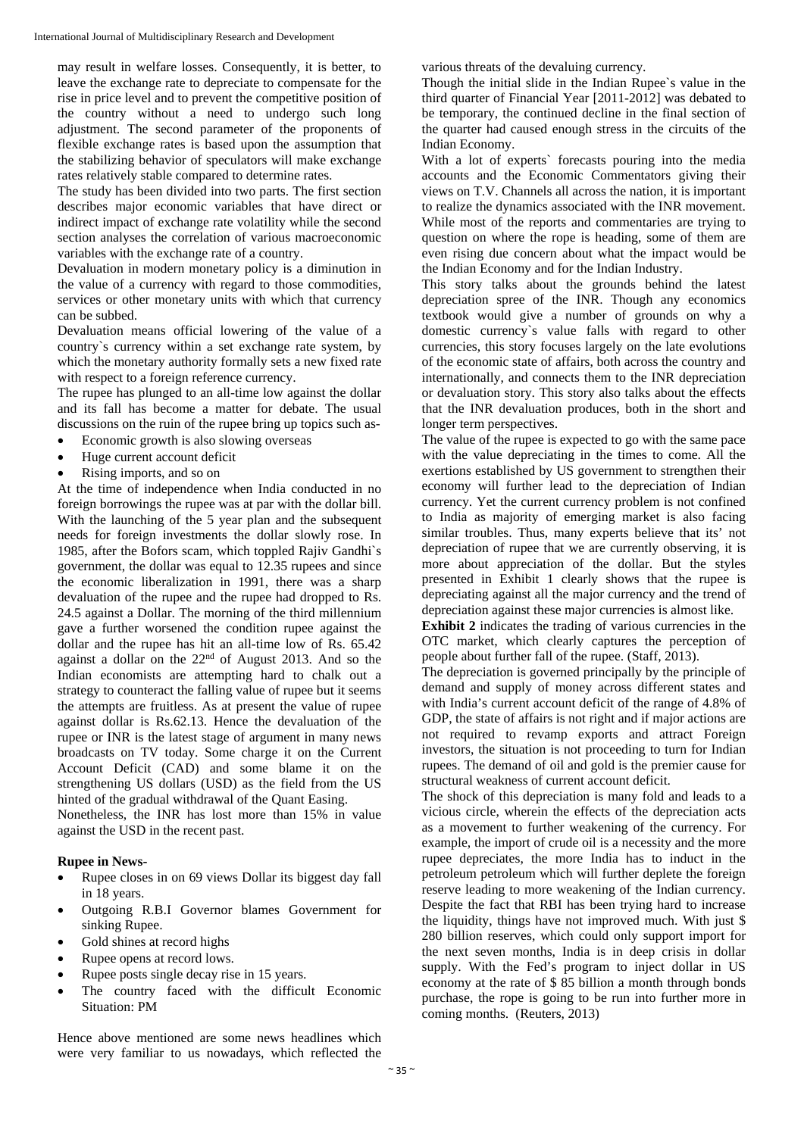may result in welfare losses. Consequently, it is better, to leave the exchange rate to depreciate to compensate for the rise in price level and to prevent the competitive position of the country without a need to undergo such long adjustment. The second parameter of the proponents of flexible exchange rates is based upon the assumption that the stabilizing behavior of speculators will make exchange rates relatively stable compared to determine rates.

The study has been divided into two parts. The first section describes major economic variables that have direct or indirect impact of exchange rate volatility while the second section analyses the correlation of various macroeconomic variables with the exchange rate of a country.

Devaluation in modern monetary policy is a diminution in the value of a currency with regard to those commodities, services or other monetary units with which that currency can be subbed.

Devaluation means official lowering of the value of a country`s currency within a set exchange rate system, by which the monetary authority formally sets a new fixed rate with respect to a foreign reference currency.

The rupee has plunged to an all-time low against the dollar and its fall has become a matter for debate. The usual discussions on the ruin of the rupee bring up topics such as-

- Economic growth is also slowing overseas
- Huge current account deficit
- Rising imports, and so on

At the time of independence when India conducted in no foreign borrowings the rupee was at par with the dollar bill. With the launching of the 5 year plan and the subsequent needs for foreign investments the dollar slowly rose. In 1985, after the Bofors scam, which toppled Rajiv Gandhi`s government, the dollar was equal to 12.35 rupees and since the economic liberalization in 1991, there was a sharp devaluation of the rupee and the rupee had dropped to Rs. 24.5 against a Dollar. The morning of the third millennium gave a further worsened the condition rupee against the dollar and the rupee has hit an all-time low of Rs. 65.42 against a dollar on the  $22<sup>nd</sup>$  of August 2013. And so the Indian economists are attempting hard to chalk out a strategy to counteract the falling value of rupee but it seems the attempts are fruitless. As at present the value of rupee against dollar is Rs.62.13. Hence the devaluation of the rupee or INR is the latest stage of argument in many news broadcasts on TV today. Some charge it on the Current Account Deficit (CAD) and some blame it on the strengthening US dollars (USD) as the field from the US hinted of the gradual withdrawal of the Quant Easing.

Nonetheless, the INR has lost more than 15% in value against the USD in the recent past.

## **Rupee in News-**

- Rupee closes in on 69 views Dollar its biggest day fall in 18 years.
- Outgoing R.B.I Governor blames Government for sinking Rupee.
- Gold shines at record highs
- Rupee opens at record lows.
- Rupee posts single decay rise in 15 years.
- The country faced with the difficult Economic Situation: PM

Hence above mentioned are some news headlines which were very familiar to us nowadays, which reflected the

various threats of the devaluing currency.

Though the initial slide in the Indian Rupee`s value in the third quarter of Financial Year [2011-2012] was debated to be temporary, the continued decline in the final section of the quarter had caused enough stress in the circuits of the Indian Economy.

With a lot of experts` forecasts pouring into the media accounts and the Economic Commentators giving their views on T.V. Channels all across the nation, it is important to realize the dynamics associated with the INR movement. While most of the reports and commentaries are trying to question on where the rope is heading, some of them are even rising due concern about what the impact would be the Indian Economy and for the Indian Industry.

This story talks about the grounds behind the latest depreciation spree of the INR. Though any economics textbook would give a number of grounds on why a domestic currency`s value falls with regard to other currencies, this story focuses largely on the late evolutions of the economic state of affairs, both across the country and internationally, and connects them to the INR depreciation or devaluation story. This story also talks about the effects that the INR devaluation produces, both in the short and longer term perspectives.

The value of the rupee is expected to go with the same pace with the value depreciating in the times to come. All the exertions established by US government to strengthen their economy will further lead to the depreciation of Indian currency. Yet the current currency problem is not confined to India as majority of emerging market is also facing similar troubles. Thus, many experts believe that its' not depreciation of rupee that we are currently observing, it is more about appreciation of the dollar. But the styles presented in Exhibit 1 clearly shows that the rupee is depreciating against all the major currency and the trend of depreciation against these major currencies is almost like.

**Exhibit 2** indicates the trading of various currencies in the OTC market, which clearly captures the perception of people about further fall of the rupee. (Staff, 2013).

The depreciation is governed principally by the principle of demand and supply of money across different states and with India's current account deficit of the range of 4.8% of GDP, the state of affairs is not right and if major actions are not required to revamp exports and attract Foreign investors, the situation is not proceeding to turn for Indian rupees. The demand of oil and gold is the premier cause for structural weakness of current account deficit.

The shock of this depreciation is many fold and leads to a vicious circle, wherein the effects of the depreciation acts as a movement to further weakening of the currency. For example, the import of crude oil is a necessity and the more rupee depreciates, the more India has to induct in the petroleum petroleum which will further deplete the foreign reserve leading to more weakening of the Indian currency. Despite the fact that RBI has been trying hard to increase the liquidity, things have not improved much. With just \$ 280 billion reserves, which could only support import for the next seven months, India is in deep crisis in dollar supply. With the Fed's program to inject dollar in US economy at the rate of \$ 85 billion a month through bonds purchase, the rope is going to be run into further more in coming months. (Reuters, 2013)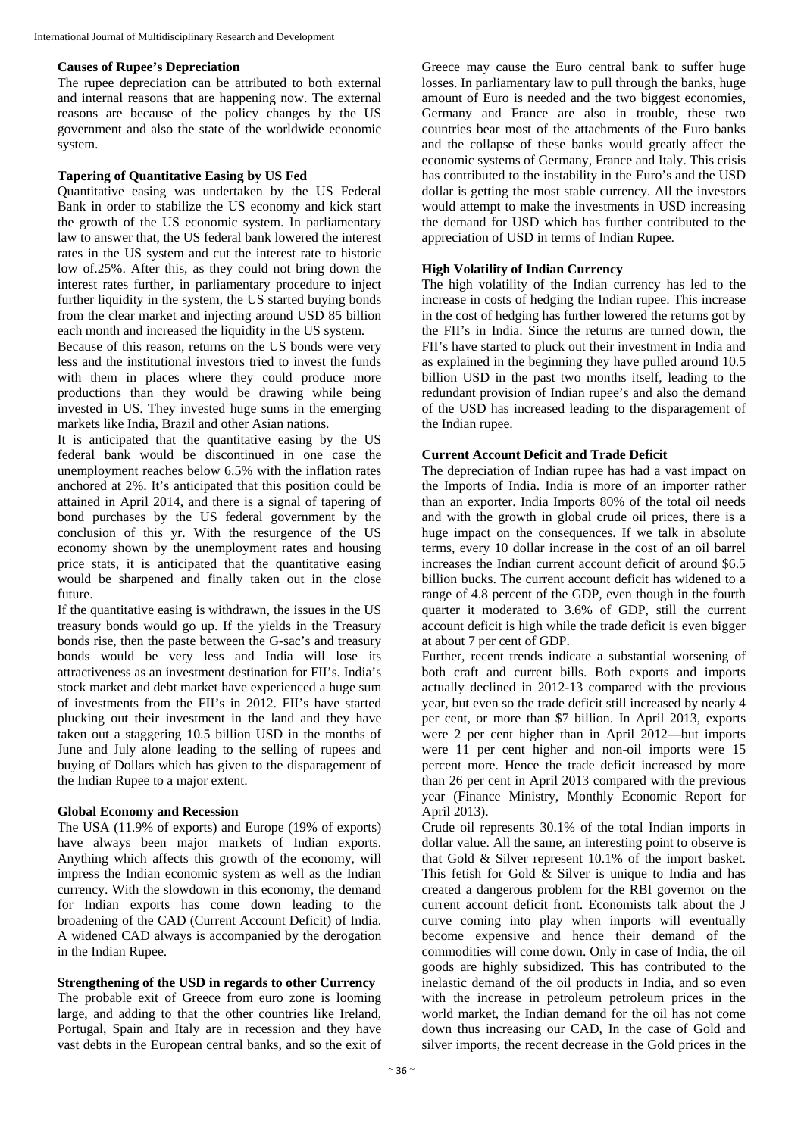#### **Causes of Rupee's Depreciation**

The rupee depreciation can be attributed to both external and internal reasons that are happening now. The external reasons are because of the policy changes by the US government and also the state of the worldwide economic system.

## **Tapering of Quantitative Easing by US Fed**

Quantitative easing was undertaken by the US Federal Bank in order to stabilize the US economy and kick start the growth of the US economic system. In parliamentary law to answer that, the US federal bank lowered the interest rates in the US system and cut the interest rate to historic low of.25%. After this, as they could not bring down the interest rates further, in parliamentary procedure to inject further liquidity in the system, the US started buying bonds from the clear market and injecting around USD 85 billion each month and increased the liquidity in the US system.

Because of this reason, returns on the US bonds were very less and the institutional investors tried to invest the funds with them in places where they could produce more productions than they would be drawing while being invested in US. They invested huge sums in the emerging markets like India, Brazil and other Asian nations.

It is anticipated that the quantitative easing by the US federal bank would be discontinued in one case the unemployment reaches below 6.5% with the inflation rates anchored at 2%. It's anticipated that this position could be attained in April 2014, and there is a signal of tapering of bond purchases by the US federal government by the conclusion of this yr. With the resurgence of the US economy shown by the unemployment rates and housing price stats, it is anticipated that the quantitative easing would be sharpened and finally taken out in the close future.

If the quantitative easing is withdrawn, the issues in the US treasury bonds would go up. If the yields in the Treasury bonds rise, then the paste between the G-sac's and treasury bonds would be very less and India will lose its attractiveness as an investment destination for FII's. India's stock market and debt market have experienced a huge sum of investments from the FII's in 2012. FII's have started plucking out their investment in the land and they have taken out a staggering 10.5 billion USD in the months of June and July alone leading to the selling of rupees and buying of Dollars which has given to the disparagement of the Indian Rupee to a major extent.

#### **Global Economy and Recession**

The USA (11.9% of exports) and Europe (19% of exports) have always been major markets of Indian exports. Anything which affects this growth of the economy, will impress the Indian economic system as well as the Indian currency. With the slowdown in this economy, the demand for Indian exports has come down leading to the broadening of the CAD (Current Account Deficit) of India. A widened CAD always is accompanied by the derogation in the Indian Rupee.

## **Strengthening of the USD in regards to other Currency**

The probable exit of Greece from euro zone is looming large, and adding to that the other countries like Ireland, Portugal, Spain and Italy are in recession and they have vast debts in the European central banks, and so the exit of

Greece may cause the Euro central bank to suffer huge losses. In parliamentary law to pull through the banks, huge amount of Euro is needed and the two biggest economies, Germany and France are also in trouble, these two countries bear most of the attachments of the Euro banks and the collapse of these banks would greatly affect the economic systems of Germany, France and Italy. This crisis has contributed to the instability in the Euro's and the USD dollar is getting the most stable currency. All the investors would attempt to make the investments in USD increasing the demand for USD which has further contributed to the appreciation of USD in terms of Indian Rupee.

## **High Volatility of Indian Currency**

The high volatility of the Indian currency has led to the increase in costs of hedging the Indian rupee. This increase in the cost of hedging has further lowered the returns got by the FII's in India. Since the returns are turned down, the FII's have started to pluck out their investment in India and as explained in the beginning they have pulled around 10.5 billion USD in the past two months itself, leading to the redundant provision of Indian rupee's and also the demand of the USD has increased leading to the disparagement of the Indian rupee.

## **Current Account Deficit and Trade Deficit**

The depreciation of Indian rupee has had a vast impact on the Imports of India. India is more of an importer rather than an exporter. India Imports 80% of the total oil needs and with the growth in global crude oil prices, there is a huge impact on the consequences. If we talk in absolute terms, every 10 dollar increase in the cost of an oil barrel increases the Indian current account deficit of around \$6.5 billion bucks. The current account deficit has widened to a range of 4.8 percent of the GDP, even though in the fourth quarter it moderated to 3.6% of GDP, still the current account deficit is high while the trade deficit is even bigger at about 7 per cent of GDP.

Further, recent trends indicate a substantial worsening of both craft and current bills. Both exports and imports actually declined in 2012-13 compared with the previous year, but even so the trade deficit still increased by nearly 4 per cent, or more than \$7 billion. In April 2013, exports were 2 per cent higher than in April 2012—but imports were 11 per cent higher and non-oil imports were 15 percent more. Hence the trade deficit increased by more than 26 per cent in April 2013 compared with the previous year (Finance Ministry, Monthly Economic Report for April 2013).

Crude oil represents 30.1% of the total Indian imports in dollar value. All the same, an interesting point to observe is that Gold & Silver represent 10.1% of the import basket. This fetish for Gold & Silver is unique to India and has created a dangerous problem for the RBI governor on the current account deficit front. Economists talk about the J curve coming into play when imports will eventually become expensive and hence their demand of the commodities will come down. Only in case of India, the oil goods are highly subsidized. This has contributed to the inelastic demand of the oil products in India, and so even with the increase in petroleum petroleum prices in the world market, the Indian demand for the oil has not come down thus increasing our CAD, In the case of Gold and silver imports, the recent decrease in the Gold prices in the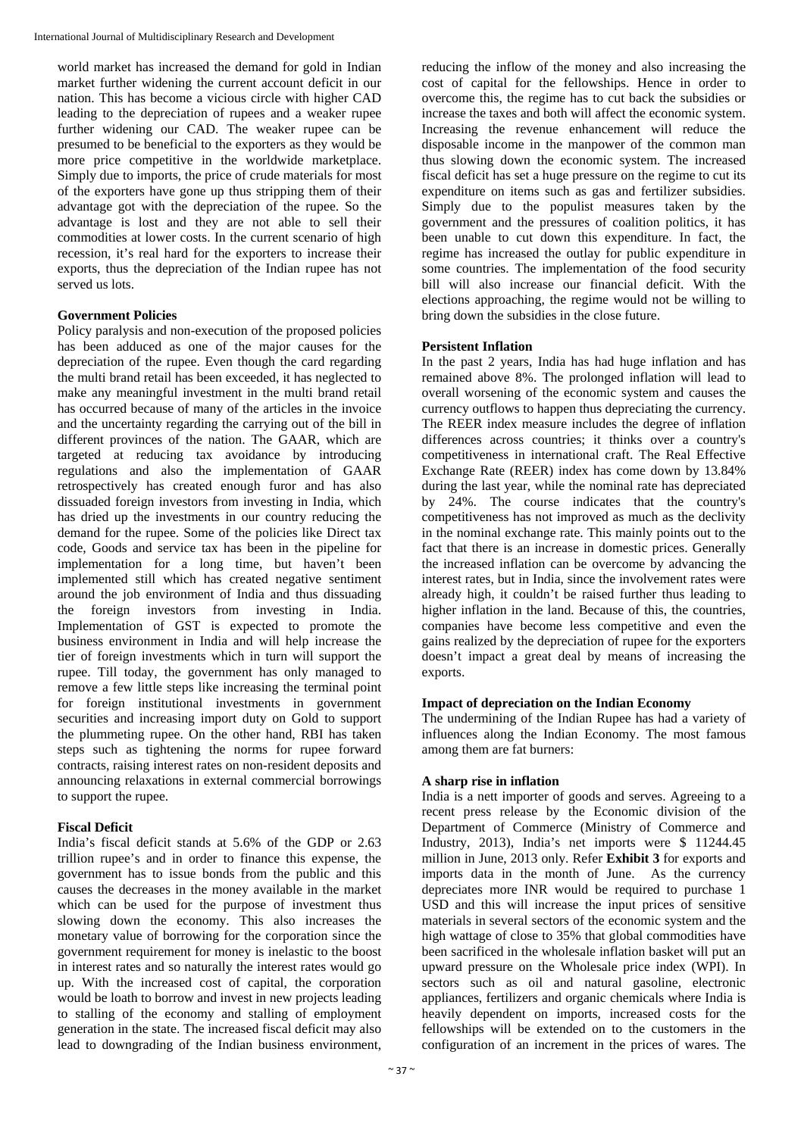world market has increased the demand for gold in Indian market further widening the current account deficit in our nation. This has become a vicious circle with higher CAD leading to the depreciation of rupees and a weaker rupee further widening our CAD. The weaker rupee can be presumed to be beneficial to the exporters as they would be more price competitive in the worldwide marketplace. Simply due to imports, the price of crude materials for most of the exporters have gone up thus stripping them of their advantage got with the depreciation of the rupee. So the advantage is lost and they are not able to sell their commodities at lower costs. In the current scenario of high recession, it's real hard for the exporters to increase their exports, thus the depreciation of the Indian rupee has not served us lots.

## **Government Policies**

Policy paralysis and non-execution of the proposed policies has been adduced as one of the major causes for the depreciation of the rupee. Even though the card regarding the multi brand retail has been exceeded, it has neglected to make any meaningful investment in the multi brand retail has occurred because of many of the articles in the invoice and the uncertainty regarding the carrying out of the bill in different provinces of the nation. The GAAR, which are targeted at reducing tax avoidance by introducing regulations and also the implementation of GAAR retrospectively has created enough furor and has also dissuaded foreign investors from investing in India, which has dried up the investments in our country reducing the demand for the rupee. Some of the policies like Direct tax code, Goods and service tax has been in the pipeline for implementation for a long time, but haven't been implemented still which has created negative sentiment around the job environment of India and thus dissuading the foreign investors from investing in India. Implementation of GST is expected to promote the business environment in India and will help increase the tier of foreign investments which in turn will support the rupee. Till today, the government has only managed to remove a few little steps like increasing the terminal point for foreign institutional investments in government securities and increasing import duty on Gold to support the plummeting rupee. On the other hand, RBI has taken steps such as tightening the norms for rupee forward contracts, raising interest rates on non-resident deposits and announcing relaxations in external commercial borrowings to support the rupee.

## **Fiscal Deficit**

India's fiscal deficit stands at 5.6% of the GDP or 2.63 trillion rupee's and in order to finance this expense, the government has to issue bonds from the public and this causes the decreases in the money available in the market which can be used for the purpose of investment thus slowing down the economy. This also increases the monetary value of borrowing for the corporation since the government requirement for money is inelastic to the boost in interest rates and so naturally the interest rates would go up. With the increased cost of capital, the corporation would be loath to borrow and invest in new projects leading to stalling of the economy and stalling of employment generation in the state. The increased fiscal deficit may also lead to downgrading of the Indian business environment,

reducing the inflow of the money and also increasing the cost of capital for the fellowships. Hence in order to overcome this, the regime has to cut back the subsidies or increase the taxes and both will affect the economic system. Increasing the revenue enhancement will reduce the disposable income in the manpower of the common man thus slowing down the economic system. The increased fiscal deficit has set a huge pressure on the regime to cut its expenditure on items such as gas and fertilizer subsidies. Simply due to the populist measures taken by the government and the pressures of coalition politics, it has been unable to cut down this expenditure. In fact, the regime has increased the outlay for public expenditure in some countries. The implementation of the food security bill will also increase our financial deficit. With the elections approaching, the regime would not be willing to bring down the subsidies in the close future.

## **Persistent Inflation**

In the past 2 years, India has had huge inflation and has remained above 8%. The prolonged inflation will lead to overall worsening of the economic system and causes the currency outflows to happen thus depreciating the currency. The REER index measure includes the degree of inflation differences across countries; it thinks over a country's competitiveness in international craft. The Real Effective Exchange Rate (REER) index has come down by 13.84% during the last year, while the nominal rate has depreciated by 24%. The course indicates that the country's competitiveness has not improved as much as the declivity in the nominal exchange rate. This mainly points out to the fact that there is an increase in domestic prices. Generally the increased inflation can be overcome by advancing the interest rates, but in India, since the involvement rates were already high, it couldn't be raised further thus leading to higher inflation in the land. Because of this, the countries, companies have become less competitive and even the gains realized by the depreciation of rupee for the exporters doesn't impact a great deal by means of increasing the exports.

## **Impact of depreciation on the Indian Economy**

The undermining of the Indian Rupee has had a variety of influences along the Indian Economy. The most famous among them are fat burners:

## **A sharp rise in inflation**

India is a nett importer of goods and serves. Agreeing to a recent press release by the Economic division of the Department of Commerce (Ministry of Commerce and Industry, 2013), India's net imports were \$ 11244.45 million in June, 2013 only. Refer **Exhibit 3** for exports and imports data in the month of June. As the currency depreciates more INR would be required to purchase 1 USD and this will increase the input prices of sensitive materials in several sectors of the economic system and the high wattage of close to 35% that global commodities have been sacrificed in the wholesale inflation basket will put an upward pressure on the Wholesale price index (WPI). In sectors such as oil and natural gasoline, electronic appliances, fertilizers and organic chemicals where India is heavily dependent on imports, increased costs for the fellowships will be extended on to the customers in the configuration of an increment in the prices of wares. The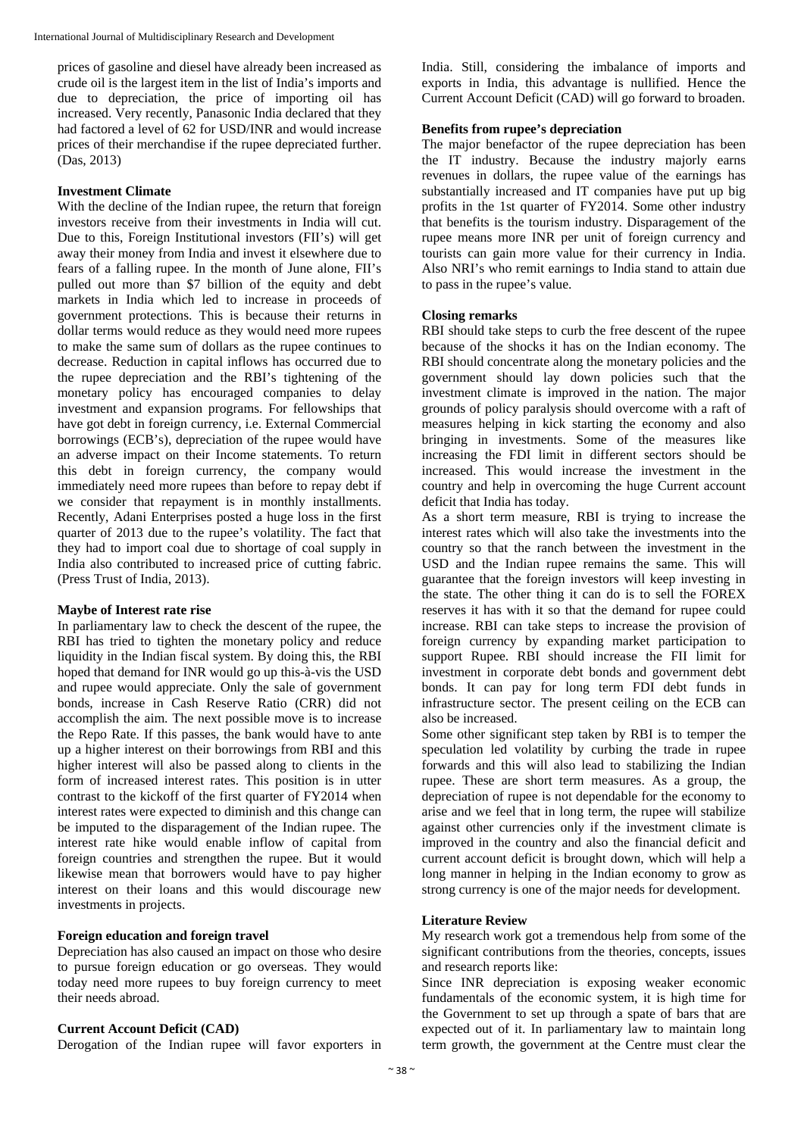prices of gasoline and diesel have already been increased as crude oil is the largest item in the list of India's imports and due to depreciation, the price of importing oil has increased. Very recently, Panasonic India declared that they had factored a level of 62 for USD/INR and would increase prices of their merchandise if the rupee depreciated further. (Das, 2013)

## **Investment Climate**

With the decline of the Indian rupee, the return that foreign investors receive from their investments in India will cut. Due to this, Foreign Institutional investors (FII's) will get away their money from India and invest it elsewhere due to fears of a falling rupee. In the month of June alone, FII's pulled out more than \$7 billion of the equity and debt markets in India which led to increase in proceeds of government protections. This is because their returns in dollar terms would reduce as they would need more rupees to make the same sum of dollars as the rupee continues to decrease. Reduction in capital inflows has occurred due to the rupee depreciation and the RBI's tightening of the monetary policy has encouraged companies to delay investment and expansion programs. For fellowships that have got debt in foreign currency, i.e. External Commercial borrowings (ECB's), depreciation of the rupee would have an adverse impact on their Income statements. To return this debt in foreign currency, the company would immediately need more rupees than before to repay debt if we consider that repayment is in monthly installments. Recently, Adani Enterprises posted a huge loss in the first quarter of 2013 due to the rupee's volatility. The fact that they had to import coal due to shortage of coal supply in India also contributed to increased price of cutting fabric. (Press Trust of India, 2013).

## **Maybe of Interest rate rise**

In parliamentary law to check the descent of the rupee, the RBI has tried to tighten the monetary policy and reduce liquidity in the Indian fiscal system. By doing this, the RBI hoped that demand for INR would go up this-à-vis the USD and rupee would appreciate. Only the sale of government bonds, increase in Cash Reserve Ratio (CRR) did not accomplish the aim. The next possible move is to increase the Repo Rate. If this passes, the bank would have to ante up a higher interest on their borrowings from RBI and this higher interest will also be passed along to clients in the form of increased interest rates. This position is in utter contrast to the kickoff of the first quarter of FY2014 when interest rates were expected to diminish and this change can be imputed to the disparagement of the Indian rupee. The interest rate hike would enable inflow of capital from foreign countries and strengthen the rupee. But it would likewise mean that borrowers would have to pay higher interest on their loans and this would discourage new investments in projects.

## **Foreign education and foreign travel**

Depreciation has also caused an impact on those who desire to pursue foreign education or go overseas. They would today need more rupees to buy foreign currency to meet their needs abroad.

## **Current Account Deficit (CAD)**

Derogation of the Indian rupee will favor exporters in

India. Still, considering the imbalance of imports and exports in India, this advantage is nullified. Hence the Current Account Deficit (CAD) will go forward to broaden.

## **Benefits from rupee's depreciation**

The major benefactor of the rupee depreciation has been the IT industry. Because the industry majorly earns revenues in dollars, the rupee value of the earnings has substantially increased and IT companies have put up big profits in the 1st quarter of FY2014. Some other industry that benefits is the tourism industry. Disparagement of the rupee means more INR per unit of foreign currency and tourists can gain more value for their currency in India. Also NRI's who remit earnings to India stand to attain due to pass in the rupee's value.

## **Closing remarks**

RBI should take steps to curb the free descent of the rupee because of the shocks it has on the Indian economy. The RBI should concentrate along the monetary policies and the government should lay down policies such that the investment climate is improved in the nation. The major grounds of policy paralysis should overcome with a raft of measures helping in kick starting the economy and also bringing in investments. Some of the measures like increasing the FDI limit in different sectors should be increased. This would increase the investment in the country and help in overcoming the huge Current account deficit that India has today.

As a short term measure, RBI is trying to increase the interest rates which will also take the investments into the country so that the ranch between the investment in the USD and the Indian rupee remains the same. This will guarantee that the foreign investors will keep investing in the state. The other thing it can do is to sell the FOREX reserves it has with it so that the demand for rupee could increase. RBI can take steps to increase the provision of foreign currency by expanding market participation to support Rupee. RBI should increase the FII limit for investment in corporate debt bonds and government debt bonds. It can pay for long term FDI debt funds in infrastructure sector. The present ceiling on the ECB can also be increased.

Some other significant step taken by RBI is to temper the speculation led volatility by curbing the trade in rupee forwards and this will also lead to stabilizing the Indian rupee. These are short term measures. As a group, the depreciation of rupee is not dependable for the economy to arise and we feel that in long term, the rupee will stabilize against other currencies only if the investment climate is improved in the country and also the financial deficit and current account deficit is brought down, which will help a long manner in helping in the Indian economy to grow as strong currency is one of the major needs for development.

## **Literature Review**

My research work got a tremendous help from some of the significant contributions from the theories, concepts, issues and research reports like:

Since INR depreciation is exposing weaker economic fundamentals of the economic system, it is high time for the Government to set up through a spate of bars that are expected out of it. In parliamentary law to maintain long term growth, the government at the Centre must clear the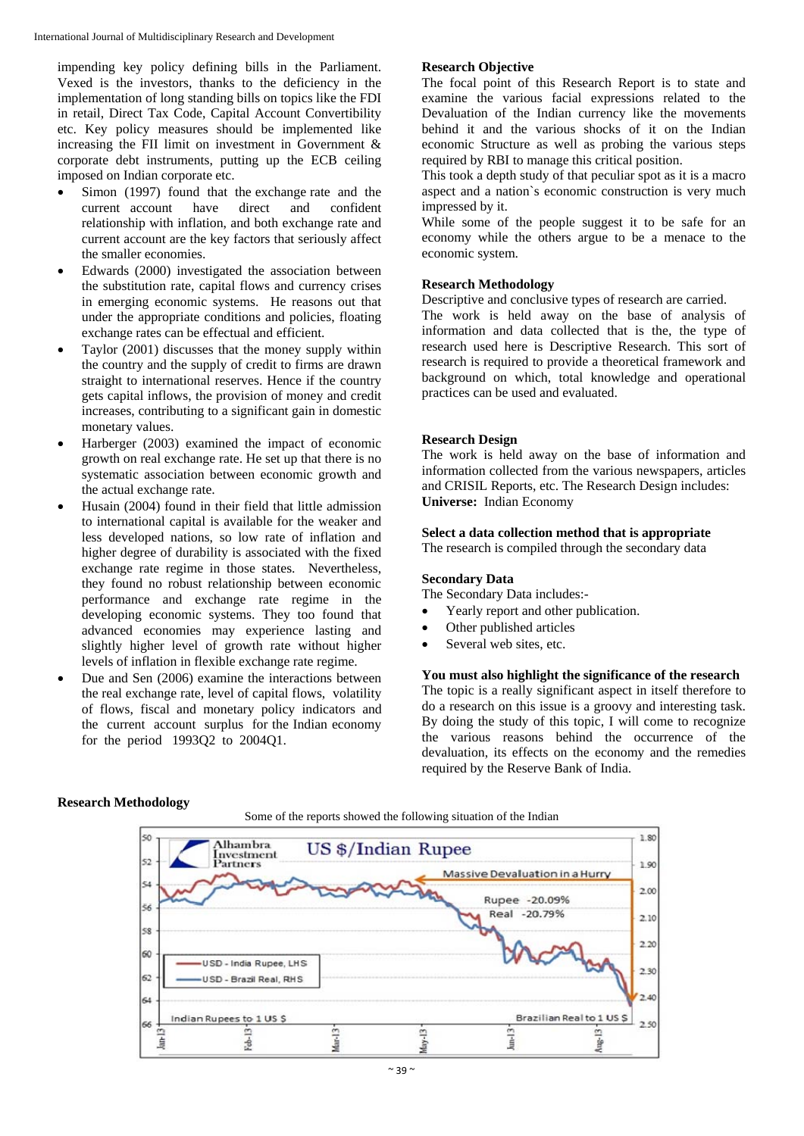impending key policy defining bills in the Parliament. Vexed is the investors, thanks to the deficiency in the implementation of long standing bills on topics like the FDI in retail, Direct Tax Code, Capital Account Convertibility etc. Key policy measures should be implemented like increasing the FII limit on investment in Government & corporate debt instruments, putting up the ECB ceiling imposed on Indian corporate etc.

- Simon (1997) found that the exchange rate and the current account have direct and confident relationship with inflation, and both exchange rate and current account are the key factors that seriously affect the smaller economies.
- Edwards (2000) investigated the association between the substitution rate, capital flows and currency crises in emerging economic systems. He reasons out that under the appropriate conditions and policies, floating exchange rates can be effectual and efficient.
- Taylor (2001) discusses that the money supply within the country and the supply of credit to firms are drawn straight to international reserves. Hence if the country gets capital inflows, the provision of money and credit increases, contributing to a significant gain in domestic monetary values.
- Harberger (2003) examined the impact of economic growth on real exchange rate. He set up that there is no systematic association between economic growth and the actual exchange rate.
- Husain (2004) found in their field that little admission to international capital is available for the weaker and less developed nations, so low rate of inflation and higher degree of durability is associated with the fixed exchange rate regime in those states. Nevertheless, they found no robust relationship between economic performance and exchange rate regime in the developing economic systems. They too found that advanced economies may experience lasting and slightly higher level of growth rate without higher levels of inflation in flexible exchange rate regime.
- Due and Sen (2006) examine the interactions between the real exchange rate, level of capital flows, volatility of flows, fiscal and monetary policy indicators and the current account surplus for the Indian economy for the period 1993Q2 to 2004Q1.

#### **Research Objective**

The focal point of this Research Report is to state and examine the various facial expressions related to the Devaluation of the Indian currency like the movements behind it and the various shocks of it on the Indian economic Structure as well as probing the various steps required by RBI to manage this critical position.

This took a depth study of that peculiar spot as it is a macro aspect and a nation`s economic construction is very much impressed by it.

While some of the people suggest it to be safe for an economy while the others argue to be a menace to the economic system.

## **Research Methodology**

Descriptive and conclusive types of research are carried.

The work is held away on the base of analysis of information and data collected that is the, the type of research used here is Descriptive Research. This sort of research is required to provide a theoretical framework and background on which, total knowledge and operational practices can be used and evaluated.

#### **Research Design**

The work is held away on the base of information and information collected from the various newspapers, articles and CRISIL Reports, etc. The Research Design includes: **Universe:** Indian Economy

#### **Select a data collection method that is appropriate**

The research is compiled through the secondary data

#### **Secondary Data**

The Secondary Data includes:-

- Yearly report and other publication.
- Other published articles
- Several web sites, etc.

## **You must also highlight the significance of the research**

The topic is a really significant aspect in itself therefore to do a research on this issue is a groovy and interesting task. By doing the study of this topic, I will come to recognize the various reasons behind the occurrence of the devaluation, its effects on the economy and the remedies required by the Reserve Bank of India.

#### **Research Methodology**

Some of the reports showed the following situation of the Indian

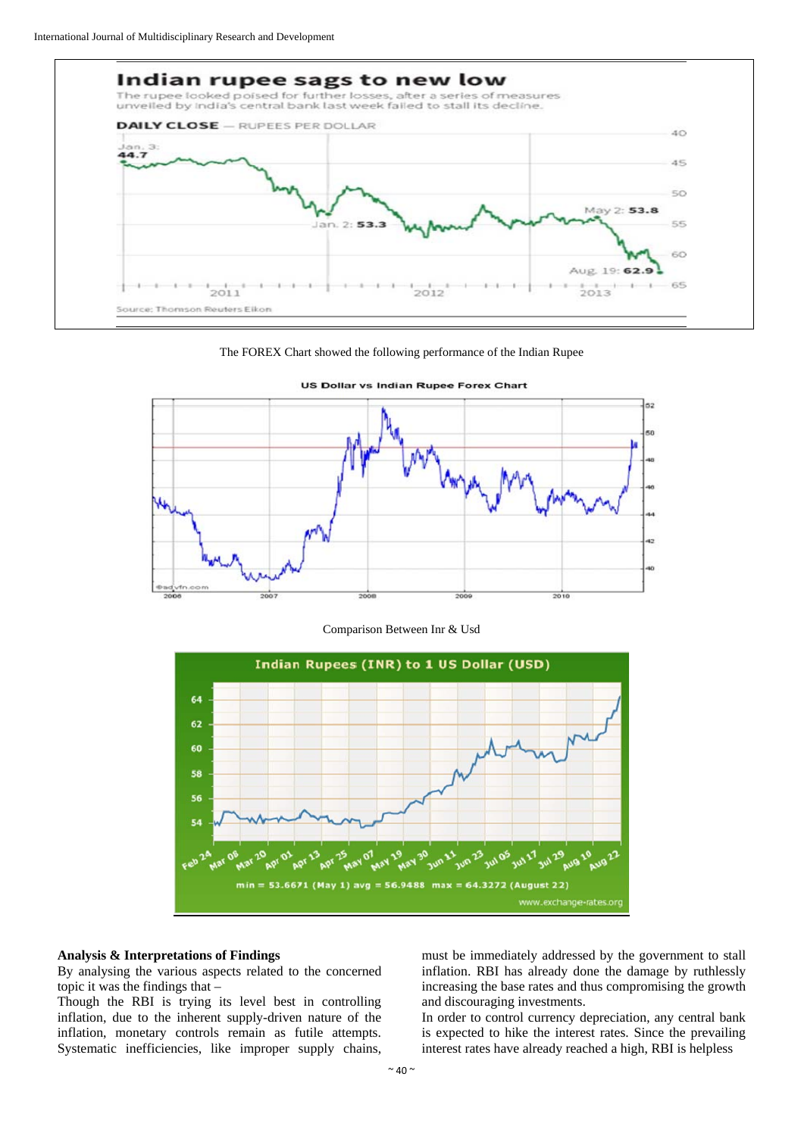







Comparison Between Inr & Usd



#### **Analysis & Interpretations of Findings**

By analysing the various aspects related to the concerned topic it was the findings that –

Though the RBI is trying its level best in controlling inflation, due to the inherent supply-driven nature of the inflation, monetary controls remain as futile attempts. Systematic inefficiencies, like improper supply chains,

must be immediately addressed by the government to stall inflation. RBI has already done the damage by ruthlessly increasing the base rates and thus compromising the growth and discouraging investments.

In order to control currency depreciation, any central bank is expected to hike the interest rates. Since the prevailing interest rates have already reached a high, RBI is helpless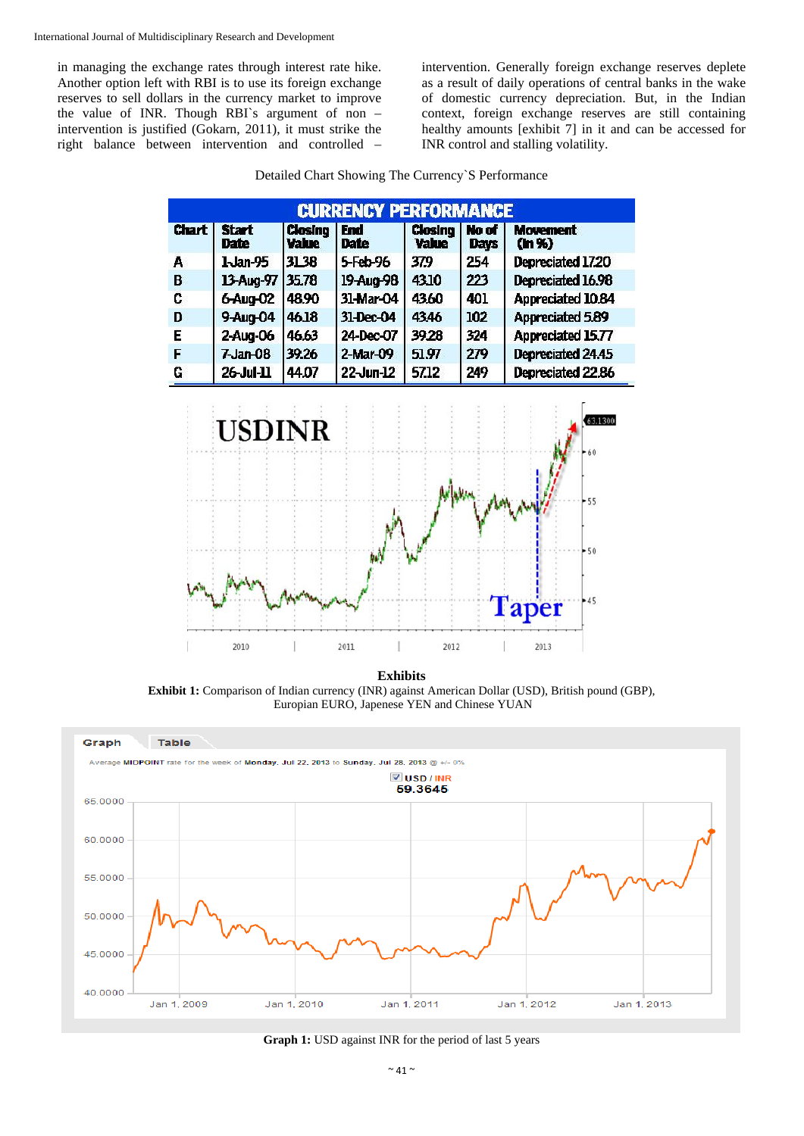in managing the exchange rates through interest rate hike. Another option left with RBI is to use its foreign exchange reserves to sell dollars in the currency market to improve the value of INR. Though RBI`s argument of non – intervention is justified (Gokarn, 2011), it must strike the right balance between intervention and controlled –

intervention. Generally foreign exchange reserves deplete as a result of daily operations of central banks in the wake of domestic currency depreciation. But, in the Indian context, foreign exchange reserves are still containing healthy amounts [exhibit 7] in it and can be accessed for INR control and stalling volatility.

| <b>CURRENCY PERFORMANCE</b> |                      |                                |             |                         |                      |                          |  |
|-----------------------------|----------------------|--------------------------------|-------------|-------------------------|----------------------|--------------------------|--|
| Chart                       | Start<br><b>Date</b> | <b>Closing</b><br><b>Value</b> | End<br>Date | Closing<br><b>Value</b> | No of<br><b>Days</b> | <b>Movement</b><br>(h %) |  |
| А                           | 1-Jan-95             | 31.38                          | 5-Feb-96    | 379                     | 254                  | Depreciated 17.20        |  |
| B                           | 13-Aug-97            | 35.78                          | 19-Aug-98   | 4310                    | 223                  | Depreciated 16.98        |  |
| C                           | 6-Aug-02             | 48.90                          | 31-Mar-04   | 4360                    | 401                  | Appreciated 10.84        |  |
| D                           | 9-Aug-04             | 46.18                          | 31-Dec-04   | 4346                    | 102                  | <b>Appreciated 5.89</b>  |  |
| E                           | 2-Aug-06             | 46.63                          | 24-Dec-07   | 39.28                   | 324                  | Appreciated 15.77        |  |
| F                           | $7$ Jan- $08$        | 39.26                          | 2-Mar-09    | 51.97                   | 279                  | Depreciated 24.45        |  |
| G                           | $26$ -Jul-11         | 44.07                          | 22-Jun-12   | 57.12                   | 249                  | Depreciated 22.86        |  |
|                             | <b>USDINR</b>        |                                |             | 60<br>$+55$<br>$-50$    |                      |                          |  |
|                             | 2010                 |                                | 2011        | 2012                    |                      | Taper<br>$-45$<br>2013   |  |

Detailed Chart Showing The Currency`S Performance

**Exhibits**

**Exhibit 1:** Comparison of Indian currency (INR) against American Dollar (USD), British pound (GBP), Europian EURO, Japenese YEN and Chinese YUAN



**Graph 1:** USD against INR for the period of last 5 years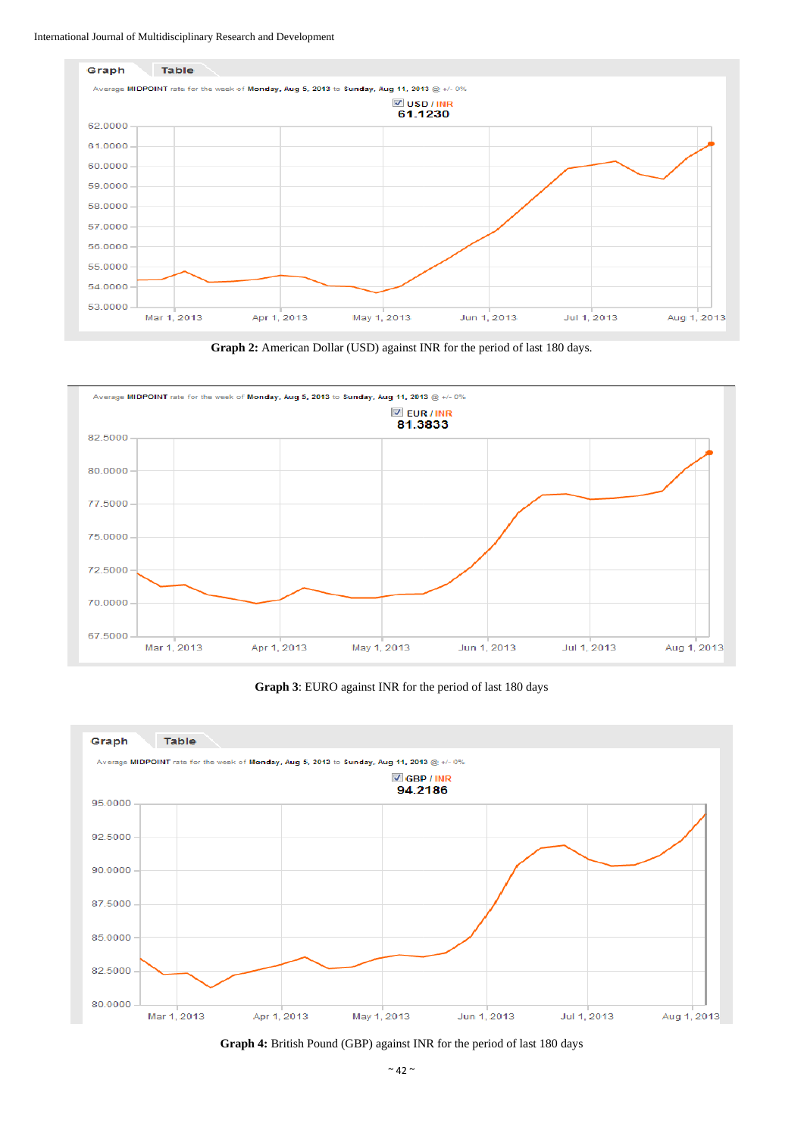





**Graph 3**: EURO against INR for the period of last 180 days



**Graph 4:** British Pound (GBP) against INR for the period of last 180 days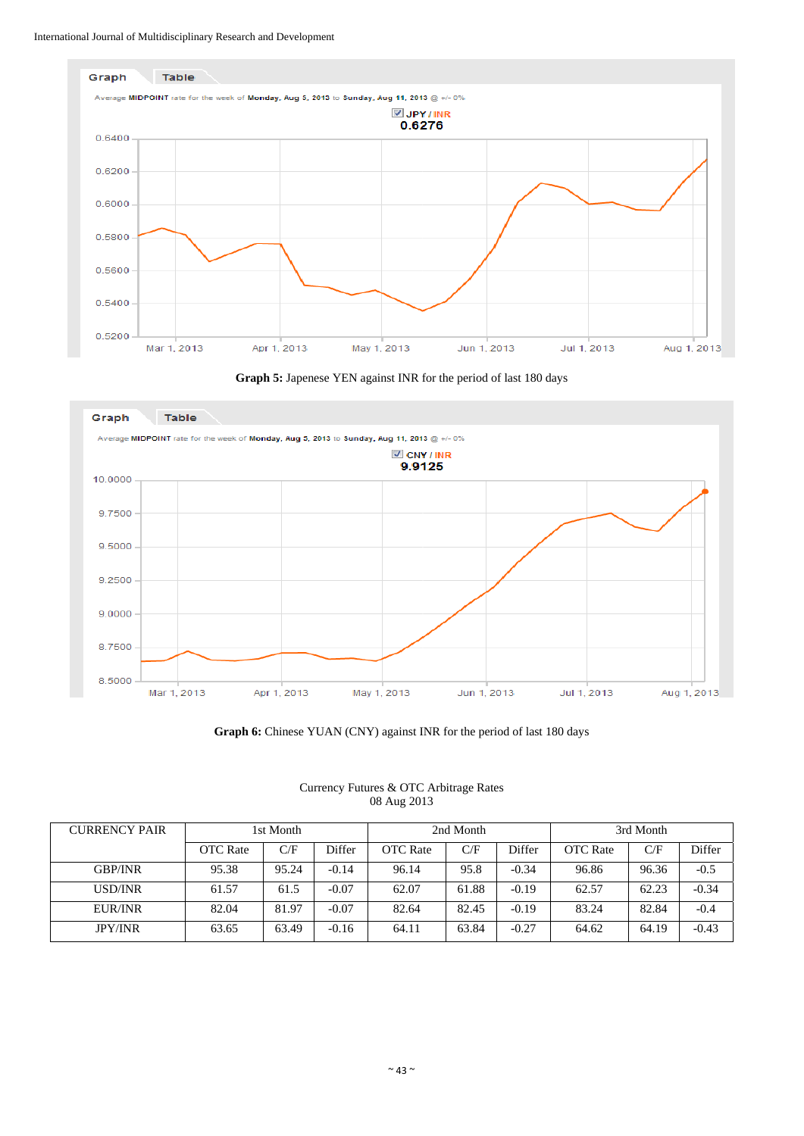





**Graph 6:** Chinese YUAN (CNY) against INR for the period of last 180 days

|  |             | Currency Futures & OTC Arbitrage Rates |  |
|--|-------------|----------------------------------------|--|
|  | 08 Aug 2013 |                                        |  |

| <b>CURRENCY PAIR</b> | 1st Month       |       | 2nd Month |                 | 3rd Month |         |                 |       |         |
|----------------------|-----------------|-------|-----------|-----------------|-----------|---------|-----------------|-------|---------|
|                      | <b>OTC</b> Rate | C/F   | Differ    | <b>OTC</b> Rate | C/F       | Differ  | <b>OTC</b> Rate | C/F   | Differ  |
| <b>GBP/INR</b>       | 95.38           | 95.24 | $-0.14$   | 96.14           | 95.8      | $-0.34$ | 96.86           | 96.36 | $-0.5$  |
| USD/INR              | 61.57           | 61.5  | $-0.07$   | 62.07           | 61.88     | $-0.19$ | 62.57           | 62.23 | $-0.34$ |
| EUR/INR              | 82.04           | 81.97 | $-0.07$   | 82.64           | 82.45     | $-0.19$ | 83.24           | 82.84 | $-0.4$  |
| <b>JPY/INR</b>       | 63.65           | 63.49 | $-0.16$   | 64.11           | 63.84     | $-0.27$ | 64.62           | 64.19 | $-0.43$ |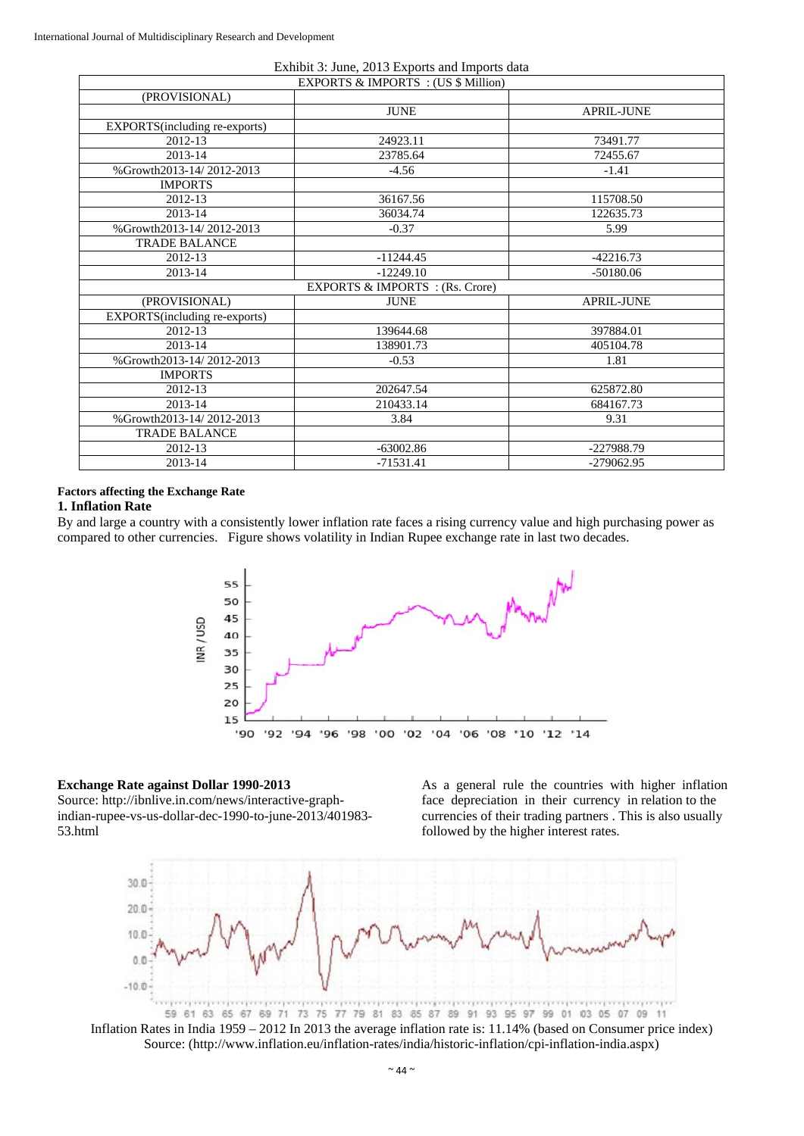|                                                | Exhibit 3: June, 2013 Exports and Imports data |                   |  |  |  |  |  |
|------------------------------------------------|------------------------------------------------|-------------------|--|--|--|--|--|
| <b>EXPORTS &amp; IMPORTS</b> : (US \$ Million) |                                                |                   |  |  |  |  |  |
| (PROVISIONAL)                                  |                                                |                   |  |  |  |  |  |
|                                                | <b>JUNE</b>                                    | APRIL-JUNE        |  |  |  |  |  |
| EXPORTS(including re-exports)                  |                                                |                   |  |  |  |  |  |
| 2012-13                                        | 24923.11                                       | 73491.77          |  |  |  |  |  |
| 2013-14                                        | 23785.64                                       | 72455.67          |  |  |  |  |  |
| %Growth2013-14/2012-2013                       | $-4.56$                                        | $-1.41$           |  |  |  |  |  |
| <b>IMPORTS</b>                                 |                                                |                   |  |  |  |  |  |
| 2012-13                                        | 36167.56                                       | 115708.50         |  |  |  |  |  |
| 2013-14                                        | 36034.74                                       | 122635.73         |  |  |  |  |  |
| %Growth2013-14/2012-2013                       | $-0.37$                                        | 5.99              |  |  |  |  |  |
| <b>TRADE BALANCE</b>                           |                                                |                   |  |  |  |  |  |
| 2012-13                                        | $-11244.45$                                    | $-42216.73$       |  |  |  |  |  |
| 2013-14                                        | $-12249.10$                                    | $-50180.06$       |  |  |  |  |  |
| EXPORTS & IMPORTS : (Rs. Crore)                |                                                |                   |  |  |  |  |  |
| (PROVISIONAL)                                  | <b>JUNE</b>                                    | <b>APRIL-JUNE</b> |  |  |  |  |  |
| EXPORTS(including re-exports)                  |                                                |                   |  |  |  |  |  |
| 2012-13                                        | 139644.68                                      | 397884.01         |  |  |  |  |  |
| 2013-14                                        | 138901.73                                      | 405104.78         |  |  |  |  |  |
| %Growth2013-14/2012-2013                       | $-0.53$                                        | 1.81              |  |  |  |  |  |
| <b>IMPORTS</b>                                 |                                                |                   |  |  |  |  |  |
| 2012-13                                        | 202647.54                                      | 625872.80         |  |  |  |  |  |
| 2013-14                                        | 210433.14                                      | 684167.73         |  |  |  |  |  |
| %Growth2013-14/2012-2013                       | 3.84                                           | 9.31              |  |  |  |  |  |
| <b>TRADE BALANCE</b>                           |                                                |                   |  |  |  |  |  |
| 2012-13                                        | $-63002.86$                                    | -227988.79        |  |  |  |  |  |
| 2013-14                                        | $-71531.41$                                    | $-279062.95$      |  |  |  |  |  |

## **Factors affecting the Exchange Rate**

#### **1. Inflation Rate**

By and large a country with a consistently lower inflation rate faces a rising currency value and high purchasing power as compared to other currencies. Figure shows volatility in Indian Rupee exchange rate in last two decades.



## **Exchange Rate against Dollar 1990-2013**

Source: http://ibnlive.in.com/news/interactive-graphindian-rupee-vs-us-dollar-dec-1990-to-june-2013/401983- 53.html

As a general rule the countries with higher inflation face depreciation in their currency in relation to the currencies of their trading partners . This is also usually followed by the higher interest rates.



Inflation Rates in India 1959 – 2012 In 2013 the average inflation rate is: 11.14% (based on Consumer price index) Source: (http://www.inflation.eu/inflation-rates/india/historic-inflation/cpi-inflation-india.aspx)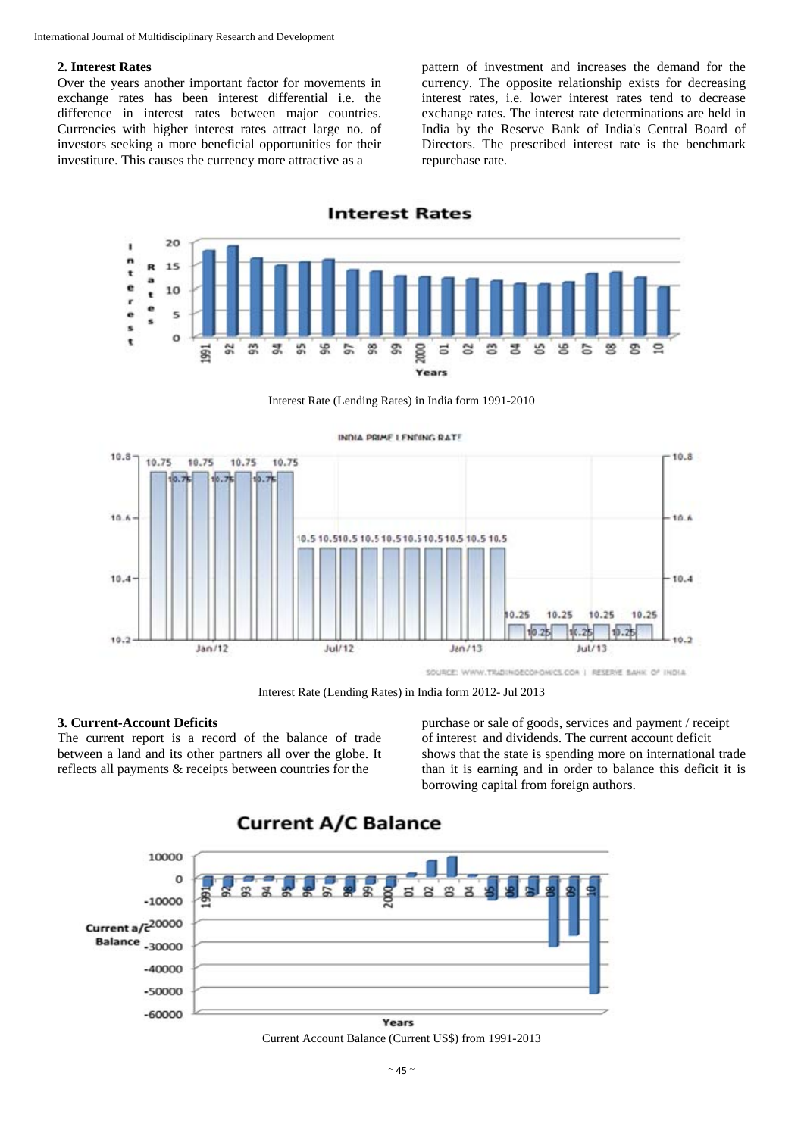#### **2. Interest Rates**

Over the years another important factor for movements in exchange rates has been interest differential i.e. the difference in interest rates between major countries. Currencies with higher interest rates attract large no. of investors seeking a more beneficial opportunities for their investiture. This causes the currency more attractive as a

pattern of investment and increases the demand for the currency. The opposite relationship exists for decreasing interest rates, i.e. lower interest rates tend to decrease exchange rates. The interest rate determinations are held in India by the Reserve Bank of India's Central Board of Directors. The prescribed interest rate is the benchmark repurchase rate.



Interest Rate (Lending Rates) in India form 1991-2010



Interest Rate (Lending Rates) in India form 2012- Jul 2013

#### **3. Current-Account Deficits**

The current report is a record of the balance of trade between a land and its other partners all over the globe. It reflects all payments & receipts between countries for the

purchase or sale of goods, services and payment / receipt of interest and dividends. The current account deficit shows that the state is spending more on international trade than it is earning and in order to balance this deficit it is borrowing capital from foreign authors.



Current Account Balance (Current US\$) from 1991-2013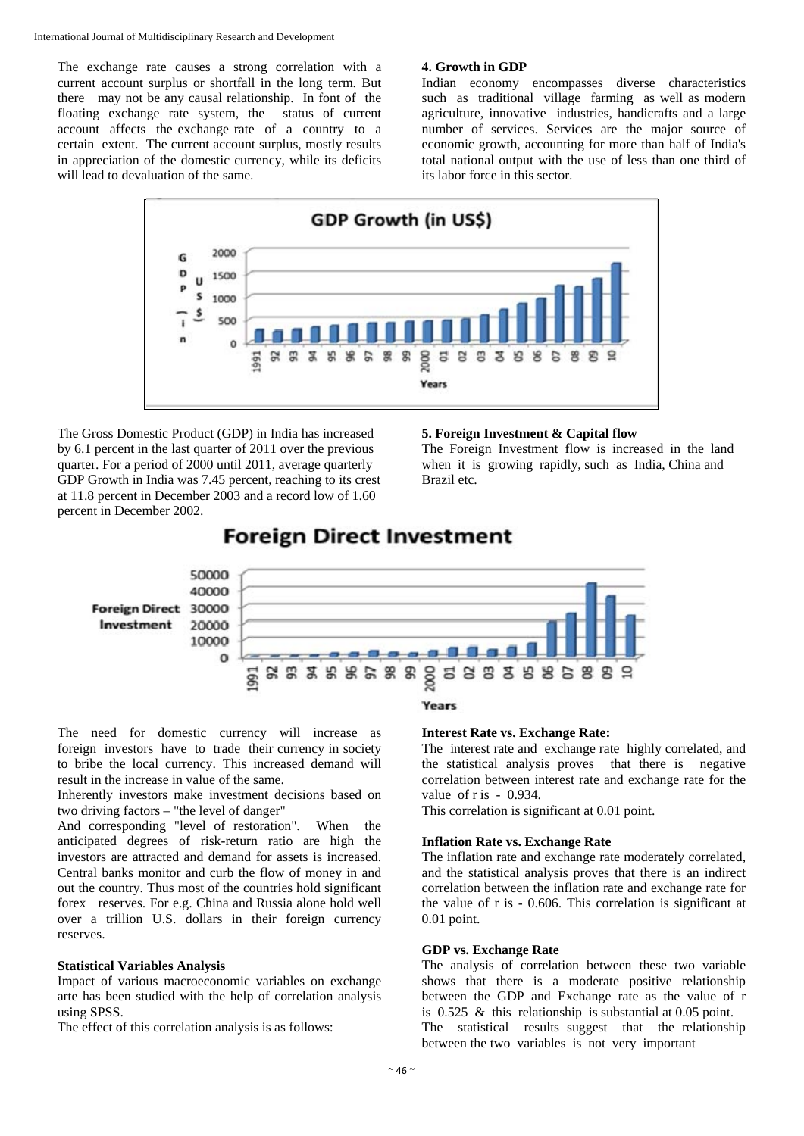The exchange rate causes a strong correlation with a current account surplus or shortfall in the long term. But there may not be any causal relationship. In font of the floating exchange rate system, the status of current account affects the exchange rate of a country to a certain extent. The current account surplus, mostly results in appreciation of the domestic currency, while its deficits will lead to devaluation of the same.

#### **4. Growth in GDP**

Indian economy encompasses diverse characteristics such as traditional village farming as well as modern agriculture, innovative industries, handicrafts and a large number of services. Services are the major source of economic growth, accounting for more than half of India's total national output with the use of less than one third of its labor force in this sector.



The Gross Domestic Product (GDP) in India has increased by 6.1 percent in the last quarter of 2011 over the previous quarter. For a period of 2000 until 2011, average quarterly GDP Growth in India was 7.45 percent, reaching to its crest at 11.8 percent in December 2003 and a record low of 1.60 percent in December 2002.

#### **5. Foreign Investment & Capital flow**

The Foreign Investment flow is increased in the land when it is growing rapidly, such as India, China and Brazil etc.

# **Foreign Direct Investment**



The need for domestic currency will increase as foreign investors have to trade their currency in society to bribe the local currency. This increased demand will result in the increase in value of the same.

Inherently investors make investment decisions based on two driving factors – "the level of danger"

And corresponding "level of restoration". When the anticipated degrees of risk-return ratio are high the investors are attracted and demand for assets is increased. Central banks monitor and curb the flow of money in and out the country. Thus most of the countries hold significant forex reserves. For e.g. China and Russia alone hold well over a trillion U.S. dollars in their foreign currency reserves.

#### **Statistical Variables Analysis**

Impact of various macroeconomic variables on exchange arte has been studied with the help of correlation analysis using SPSS.

The effect of this correlation analysis is as follows:

## **Years**

#### **Interest Rate vs. Exchange Rate:**

The interest rate and exchange rate highly correlated, and the statistical analysis proves that there is negative correlation between interest rate and exchange rate for the value of r is - 0.934.

This correlation is significant at 0.01 point.

#### **Inflation Rate vs. Exchange Rate**

The inflation rate and exchange rate moderately correlated, and the statistical analysis proves that there is an indirect correlation between the inflation rate and exchange rate for the value of r is - 0.606. This correlation is significant at 0.01 point.

## **GDP vs. Exchange Rate**

The analysis of correlation between these two variable shows that there is a moderate positive relationship between the GDP and Exchange rate as the value of r is 0.525 & this relationship is substantial at 0.05 point. The statistical results suggest that the relationship between the two variables is not very important